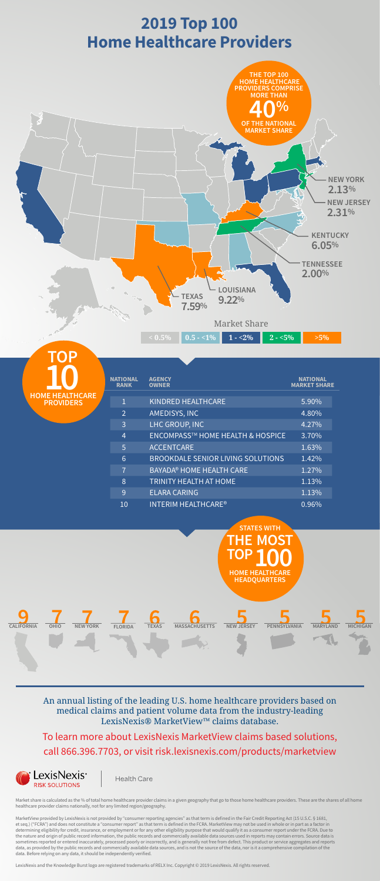

Market share is calculated as the % of total home healthcare provider claims in a given geography that go to those home healthcare providers. These are the shares of all home healthcare provider claims nationally, not for any limited region/geography.

MarketView provided by LexisNexis is not provided by "consumer reporting agencies" as that term is defined in the Fair Credit Reporting Act (15 U.S.C. § 1681, et seq.) ("FCRA") and does not constitute a "consumer report" as that term is defined in the FCRA. MarketView may not be used in whole or in part as a factor in determining eligibility for credit, insurance, or employment or for any other eligibility purpose that would qualify it as a consumer report under the FCRA. Due to the nature and origin of public record information, the public records and commercially available data sources used in reports may contain errors. Source data is sometimes reported or entered inaccurately, processed poorly or incorrectly, and is generally not free from defect. This product or service aggregates and reports data, as provided by the public records and commercially available data sources, and is not the source of the data, nor is it a comprehensive compilation of the data. Before relying on any data, it should be independently verified.

LexisNexis and the Knowledge Burst logo are registered trademarks of RELX Inc. Copyright © 2019 LexisNexis. All rights reserved.

To learn more about LexisNexis MarketView claims based solutions, call 866.396.7703, or visit <risk.lexisnexis.com/products/marketview>



**Health Care** 

An annual listing of the leading U.S. home healthcare providers based on medical claims and patient volume data from the industry-leading LexisNexis® MarketView™ claims database.